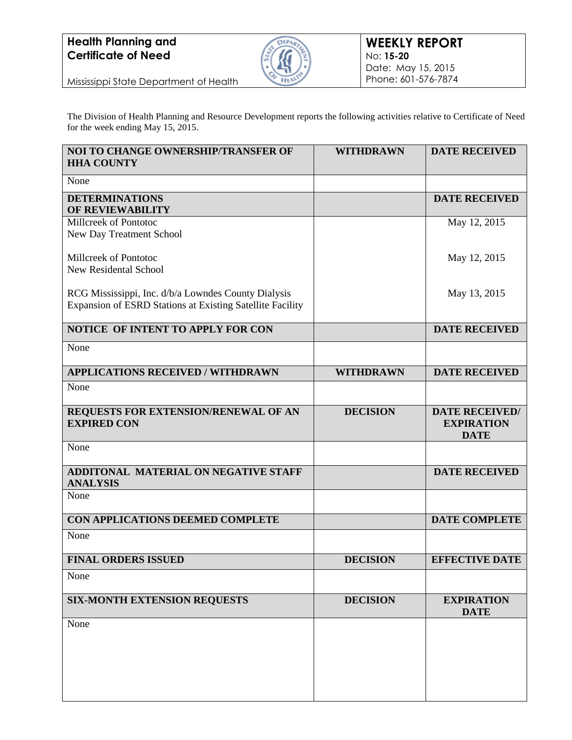

Mississippi State Department of Health

The Division of Health Planning and Resource Development reports the following activities relative to Certificate of Need for the week ending May 15, 2015.

| <b>NOI TO CHANGE OWNERSHIP/TRANSFER OF</b><br><b>HHA COUNTY</b>                                                  | <b>WITHDRAWN</b> | <b>DATE RECEIVED</b>                                      |
|------------------------------------------------------------------------------------------------------------------|------------------|-----------------------------------------------------------|
| None                                                                                                             |                  |                                                           |
| <b>DETERMINATIONS</b><br>OF REVIEWABILITY                                                                        |                  | <b>DATE RECEIVED</b>                                      |
| Millcreek of Pontotoc<br>New Day Treatment School                                                                |                  | May 12, 2015                                              |
| Millcreek of Pontotoc<br><b>New Residental School</b>                                                            |                  | May 12, 2015                                              |
| RCG Mississippi, Inc. d/b/a Lowndes County Dialysis<br>Expansion of ESRD Stations at Existing Satellite Facility |                  | May 13, 2015                                              |
| NOTICE OF INTENT TO APPLY FOR CON                                                                                |                  | <b>DATE RECEIVED</b>                                      |
| None                                                                                                             |                  |                                                           |
| <b>APPLICATIONS RECEIVED / WITHDRAWN</b>                                                                         | <b>WITHDRAWN</b> | <b>DATE RECEIVED</b>                                      |
| None                                                                                                             |                  |                                                           |
| REQUESTS FOR EXTENSION/RENEWAL OF AN<br><b>EXPIRED CON</b>                                                       | <b>DECISION</b>  | <b>DATE RECEIVED/</b><br><b>EXPIRATION</b><br><b>DATE</b> |
| None                                                                                                             |                  |                                                           |
| ADDITONAL MATERIAL ON NEGATIVE STAFF<br><b>ANALYSIS</b>                                                          |                  | <b>DATE RECEIVED</b>                                      |
| None                                                                                                             |                  |                                                           |
| CON APPLICATIONS DEEMED COMPLETE                                                                                 |                  | <b>DATE COMPLETE</b>                                      |
| None                                                                                                             |                  |                                                           |
| <b>FINAL ORDERS ISSUED</b>                                                                                       | <b>DECISION</b>  | <b>EFFECTIVE DATE</b>                                     |
| None                                                                                                             |                  |                                                           |
| <b>SIX-MONTH EXTENSION REQUESTS</b>                                                                              | <b>DECISION</b>  | <b>EXPIRATION</b><br><b>DATE</b>                          |
| None                                                                                                             |                  |                                                           |
|                                                                                                                  |                  |                                                           |
|                                                                                                                  |                  |                                                           |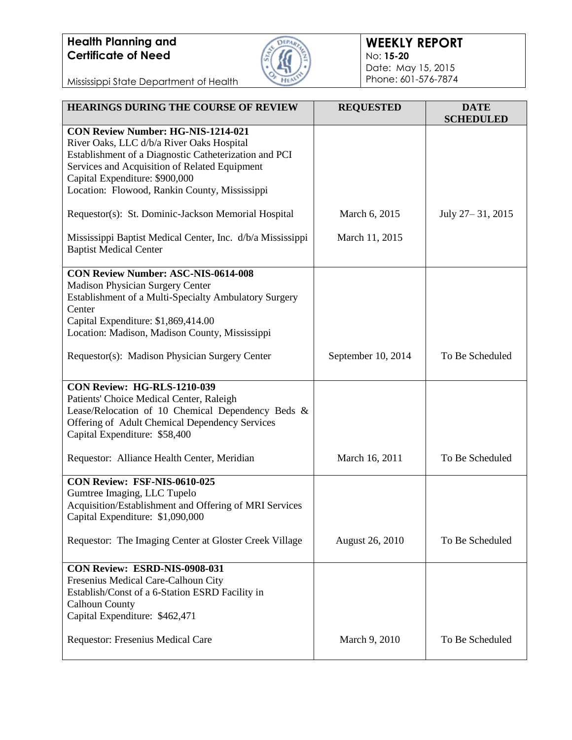

### **WEEKLY REPORT** No: **15-20** Date: May 15, 2015 Phone: 601-576-7874

Mississippi State Department of Health

| <b>HEARINGS DURING THE COURSE OF REVIEW</b>                                                                                                                                                                                                                                         | <b>REQUESTED</b>   | <b>DATE</b><br><b>SCHEDULED</b> |
|-------------------------------------------------------------------------------------------------------------------------------------------------------------------------------------------------------------------------------------------------------------------------------------|--------------------|---------------------------------|
| <b>CON Review Number: HG-NIS-1214-021</b><br>River Oaks, LLC d/b/a River Oaks Hospital<br>Establishment of a Diagnostic Catheterization and PCI<br>Services and Acquisition of Related Equipment<br>Capital Expenditure: \$900,000<br>Location: Flowood, Rankin County, Mississippi |                    |                                 |
| Requestor(s): St. Dominic-Jackson Memorial Hospital                                                                                                                                                                                                                                 | March 6, 2015      | July 27 – 31, 2015              |
| Mississippi Baptist Medical Center, Inc. d/b/a Mississippi<br><b>Baptist Medical Center</b>                                                                                                                                                                                         | March 11, 2015     |                                 |
| <b>CON Review Number: ASC-NIS-0614-008</b><br><b>Madison Physician Surgery Center</b><br>Establishment of a Multi-Specialty Ambulatory Surgery<br>Center<br>Capital Expenditure: \$1,869,414.00<br>Location: Madison, Madison County, Mississippi                                   |                    |                                 |
| Requestor(s): Madison Physician Surgery Center                                                                                                                                                                                                                                      | September 10, 2014 | To Be Scheduled                 |
| <b>CON Review: HG-RLS-1210-039</b><br>Patients' Choice Medical Center, Raleigh<br>Lease/Relocation of 10 Chemical Dependency Beds &<br>Offering of Adult Chemical Dependency Services<br>Capital Expenditure: \$58,400                                                              |                    |                                 |
| Requestor: Alliance Health Center, Meridian                                                                                                                                                                                                                                         | March 16, 2011     | To Be Scheduled                 |
| CON Review: FSF-NIS-0610-025<br>Gumtree Imaging, LLC Tupelo<br>Acquisition/Establishment and Offering of MRI Services<br>Capital Expenditure: \$1,090,000                                                                                                                           |                    |                                 |
| Requestor: The Imaging Center at Gloster Creek Village                                                                                                                                                                                                                              | August 26, 2010    | To Be Scheduled                 |
| CON Review: ESRD-NIS-0908-031<br>Fresenius Medical Care-Calhoun City<br>Establish/Const of a 6-Station ESRD Facility in<br><b>Calhoun County</b><br>Capital Expenditure: \$462,471                                                                                                  |                    |                                 |
| Requestor: Fresenius Medical Care                                                                                                                                                                                                                                                   | March 9, 2010      | To Be Scheduled                 |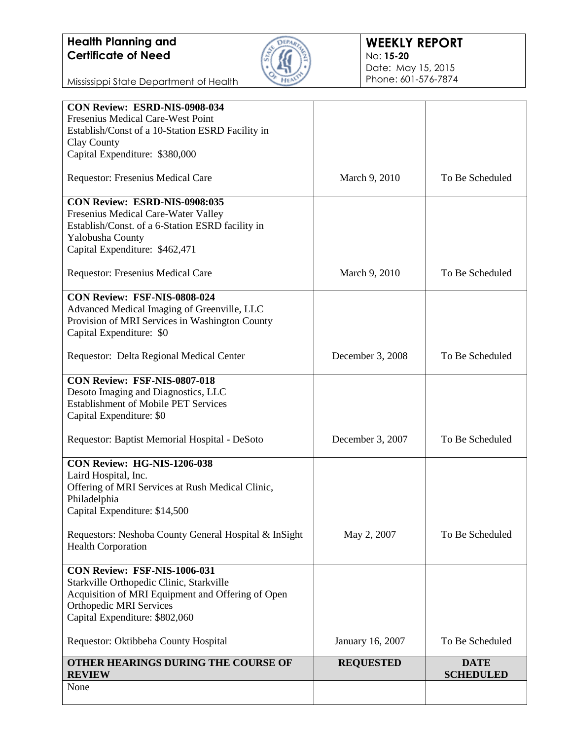

### **WEEKLY REPORT** No: **15-20** Date: May 15, 2015 Phone: 601-576-7874

Mississippi State Department of Health

| Fresenius Medical Care-West Point<br>Establish/Const of a 10-Station ESRD Facility in<br>Clay County<br>Capital Expenditure: \$380,000 |                  |                                 |
|----------------------------------------------------------------------------------------------------------------------------------------|------------------|---------------------------------|
|                                                                                                                                        |                  |                                 |
|                                                                                                                                        |                  |                                 |
|                                                                                                                                        |                  |                                 |
| Requestor: Fresenius Medical Care                                                                                                      | March 9, 2010    | To Be Scheduled                 |
|                                                                                                                                        |                  |                                 |
| CON Review: ESRD-NIS-0908:035                                                                                                          |                  |                                 |
| Fresenius Medical Care-Water Valley                                                                                                    |                  |                                 |
| Establish/Const. of a 6-Station ESRD facility in                                                                                       |                  |                                 |
| Yalobusha County                                                                                                                       |                  |                                 |
| Capital Expenditure: \$462,471                                                                                                         |                  |                                 |
| Requestor: Fresenius Medical Care                                                                                                      | March 9, 2010    | To Be Scheduled                 |
| CON Review: FSF-NIS-0808-024                                                                                                           |                  |                                 |
| Advanced Medical Imaging of Greenville, LLC                                                                                            |                  |                                 |
| Provision of MRI Services in Washington County                                                                                         |                  |                                 |
| Capital Expenditure: \$0                                                                                                               |                  |                                 |
|                                                                                                                                        |                  |                                 |
| Requestor: Delta Regional Medical Center                                                                                               | December 3, 2008 | To Be Scheduled                 |
| CON Review: FSF-NIS-0807-018                                                                                                           |                  |                                 |
| Desoto Imaging and Diagnostics, LLC                                                                                                    |                  |                                 |
| <b>Establishment of Mobile PET Services</b>                                                                                            |                  |                                 |
| Capital Expenditure: \$0                                                                                                               |                  |                                 |
|                                                                                                                                        |                  |                                 |
| Requestor: Baptist Memorial Hospital - DeSoto                                                                                          | December 3, 2007 | To Be Scheduled                 |
| CON Review: HG-NIS-1206-038                                                                                                            |                  |                                 |
| Laird Hospital, Inc.                                                                                                                   |                  |                                 |
| Offering of MRI Services at Rush Medical Clinic,                                                                                       |                  |                                 |
| Philadelphia                                                                                                                           |                  |                                 |
| Capital Expenditure: \$14,500                                                                                                          |                  |                                 |
| Requestors: Neshoba County General Hospital & InSight                                                                                  | May 2, 2007      | To Be Scheduled                 |
| <b>Health Corporation</b>                                                                                                              |                  |                                 |
| CON Review: FSF-NIS-1006-031                                                                                                           |                  |                                 |
| Starkville Orthopedic Clinic, Starkville                                                                                               |                  |                                 |
| Acquisition of MRI Equipment and Offering of Open                                                                                      |                  |                                 |
| <b>Orthopedic MRI Services</b>                                                                                                         |                  |                                 |
| Capital Expenditure: \$802,060                                                                                                         |                  |                                 |
|                                                                                                                                        |                  |                                 |
| Requestor: Oktibbeha County Hospital                                                                                                   | January 16, 2007 | To Be Scheduled                 |
| OTHER HEARINGS DURING THE COURSE OF<br><b>REVIEW</b>                                                                                   | <b>REQUESTED</b> | <b>DATE</b><br><b>SCHEDULED</b> |